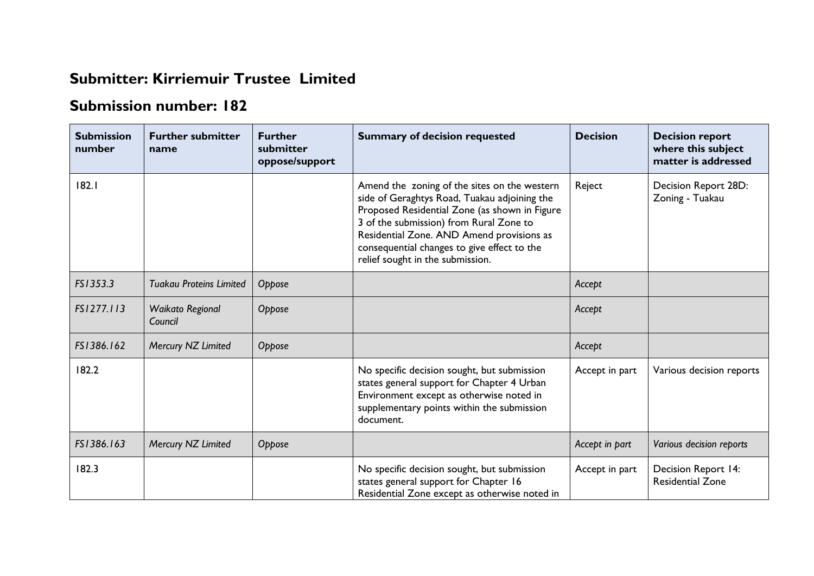## **Submitter: Kirriemuir Trustee Limited**

## **Submission number: 182**

| <b>Submission</b><br>number | <b>Further submitter</b><br>name | <b>Further</b><br>submitter<br>oppose/support | <b>Summary of decision requested</b>                                                                                                                                                                                                                                                                                     | <b>Decision</b> | <b>Decision report</b><br>where this subject<br>matter is addressed |
|-----------------------------|----------------------------------|-----------------------------------------------|--------------------------------------------------------------------------------------------------------------------------------------------------------------------------------------------------------------------------------------------------------------------------------------------------------------------------|-----------------|---------------------------------------------------------------------|
| 182.1                       |                                  |                                               | Amend the zoning of the sites on the western<br>side of Geraghtys Road, Tuakau adjoining the<br>Proposed Residential Zone (as shown in Figure<br>3 of the submission) from Rural Zone to<br>Residential Zone. AND Amend provisions as<br>consequential changes to give effect to the<br>relief sought in the submission. | Reject          | Decision Report 28D:<br>Zoning - Tuakau                             |
| FS1353.3                    | <b>Tuakau Proteins Limited</b>   | Oppose                                        |                                                                                                                                                                                                                                                                                                                          | Accept          |                                                                     |
| FS1277.113                  | Waikato Regional<br>Council      | Oppose                                        |                                                                                                                                                                                                                                                                                                                          | Accept          |                                                                     |
| FS1386.162                  | Mercury NZ Limited               | Oppose                                        |                                                                                                                                                                                                                                                                                                                          | Accept          |                                                                     |
| 182.2                       |                                  |                                               | No specific decision sought, but submission<br>states general support for Chapter 4 Urban<br>Environment except as otherwise noted in<br>supplementary points within the submission<br>document.                                                                                                                         | Accept in part  | Various decision reports                                            |
| FS1386.163                  | Mercury NZ Limited               | Oppose                                        |                                                                                                                                                                                                                                                                                                                          | Accept in part  | Various decision reports                                            |
| 182.3                       |                                  |                                               | No specific decision sought, but submission<br>states general support for Chapter 16<br>Residential Zone except as otherwise noted in                                                                                                                                                                                    | Accept in part  | Decision Report 14:<br><b>Residential Zone</b>                      |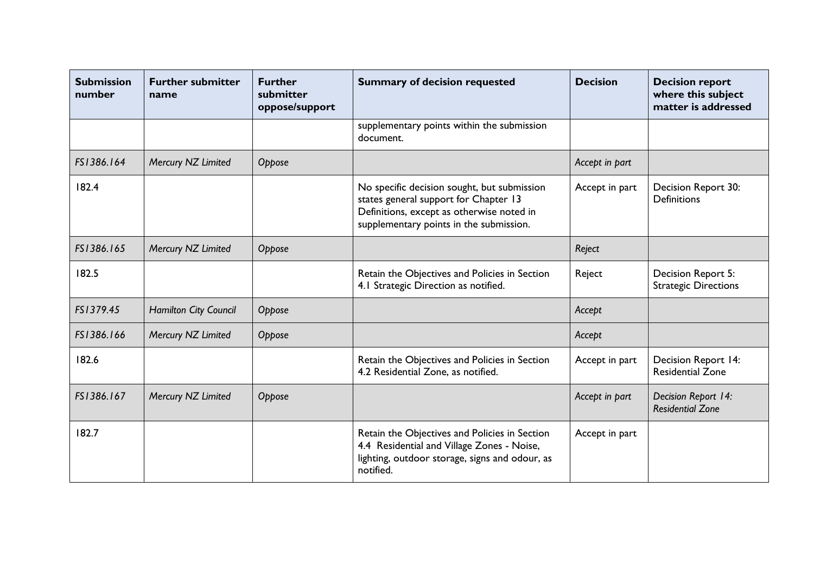| <b>Submission</b><br>number | <b>Further submitter</b><br>name | <b>Further</b><br>submitter<br>oppose/support | <b>Summary of decision requested</b>                                                                                                                                         | <b>Decision</b> | <b>Decision report</b><br>where this subject<br>matter is addressed |
|-----------------------------|----------------------------------|-----------------------------------------------|------------------------------------------------------------------------------------------------------------------------------------------------------------------------------|-----------------|---------------------------------------------------------------------|
|                             |                                  |                                               | supplementary points within the submission<br>document.                                                                                                                      |                 |                                                                     |
| FS1386.164                  | Mercury NZ Limited               | Oppose                                        |                                                                                                                                                                              | Accept in part  |                                                                     |
| 182.4                       |                                  |                                               | No specific decision sought, but submission<br>states general support for Chapter 13<br>Definitions, except as otherwise noted in<br>supplementary points in the submission. | Accept in part  | Decision Report 30:<br><b>Definitions</b>                           |
| FS1386.165                  | Mercury NZ Limited               | Oppose                                        |                                                                                                                                                                              | Reject          |                                                                     |
| 182.5                       |                                  |                                               | Retain the Objectives and Policies in Section<br>4.1 Strategic Direction as notified.                                                                                        | Reject          | Decision Report 5:<br><b>Strategic Directions</b>                   |
| FS1379.45                   | <b>Hamilton City Council</b>     | Oppose                                        |                                                                                                                                                                              | Accept          |                                                                     |
| FS1386.166                  | Mercury NZ Limited               | Oppose                                        |                                                                                                                                                                              | Accept          |                                                                     |
| 182.6                       |                                  |                                               | Retain the Objectives and Policies in Section<br>4.2 Residential Zone, as notified.                                                                                          | Accept in part  | Decision Report 14:<br><b>Residential Zone</b>                      |
| FS1386.167                  | Mercury NZ Limited               | Oppose                                        |                                                                                                                                                                              | Accept in part  | Decision Report 14:<br><b>Residential Zone</b>                      |
| 182.7                       |                                  |                                               | Retain the Objectives and Policies in Section<br>4.4 Residential and Village Zones - Noise,<br>lighting, outdoor storage, signs and odour, as<br>notified.                   | Accept in part  |                                                                     |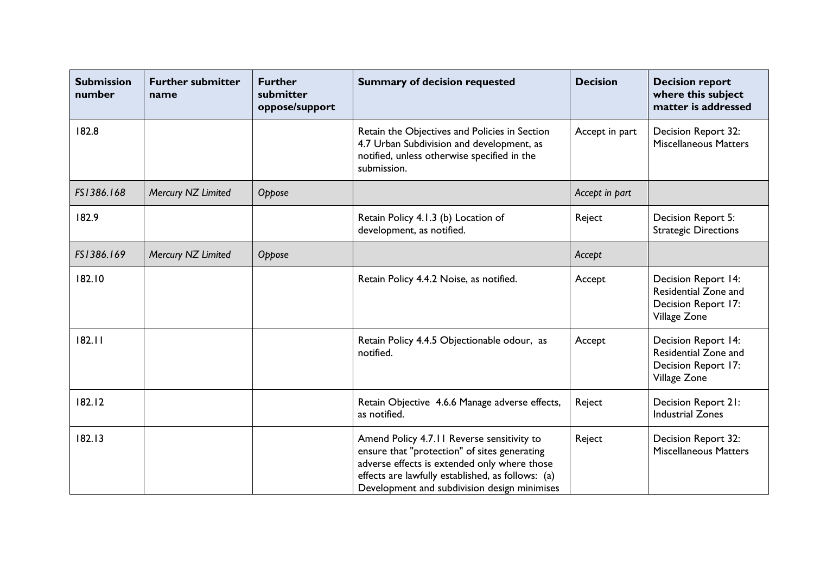| <b>Submission</b><br>number | <b>Further submitter</b><br>name | <b>Further</b><br>submitter<br>oppose/support | <b>Summary of decision requested</b>                                                                                                                                                                                                            | <b>Decision</b> | <b>Decision report</b><br>where this subject<br>matter is addressed                       |
|-----------------------------|----------------------------------|-----------------------------------------------|-------------------------------------------------------------------------------------------------------------------------------------------------------------------------------------------------------------------------------------------------|-----------------|-------------------------------------------------------------------------------------------|
| 182.8                       |                                  |                                               | Retain the Objectives and Policies in Section<br>4.7 Urban Subdivision and development, as<br>notified, unless otherwise specified in the<br>submission.                                                                                        | Accept in part  | Decision Report 32:<br><b>Miscellaneous Matters</b>                                       |
| FS1386.168                  | Mercury NZ Limited               | Oppose                                        |                                                                                                                                                                                                                                                 | Accept in part  |                                                                                           |
| 182.9                       |                                  |                                               | Retain Policy 4.1.3 (b) Location of<br>development, as notified.                                                                                                                                                                                | Reject          | Decision Report 5:<br><b>Strategic Directions</b>                                         |
| FS1386.169                  | Mercury NZ Limited               | Oppose                                        |                                                                                                                                                                                                                                                 | Accept          |                                                                                           |
| 182.10                      |                                  |                                               | Retain Policy 4.4.2 Noise, as notified.                                                                                                                                                                                                         | Accept          | <b>Decision Report 14:</b><br>Residential Zone and<br>Decision Report 17:<br>Village Zone |
| 182.11                      |                                  |                                               | Retain Policy 4.4.5 Objectionable odour, as<br>notified.                                                                                                                                                                                        | Accept          | Decision Report 14:<br>Residential Zone and<br>Decision Report 17:<br>Village Zone        |
| 182.12                      |                                  |                                               | Retain Objective 4.6.6 Manage adverse effects,<br>as notified.                                                                                                                                                                                  | Reject          | Decision Report 21:<br><b>Industrial Zones</b>                                            |
| 182.13                      |                                  |                                               | Amend Policy 4.7.11 Reverse sensitivity to<br>ensure that "protection" of sites generating<br>adverse effects is extended only where those<br>effects are lawfully established, as follows: (a)<br>Development and subdivision design minimises | Reject          | Decision Report 32:<br><b>Miscellaneous Matters</b>                                       |